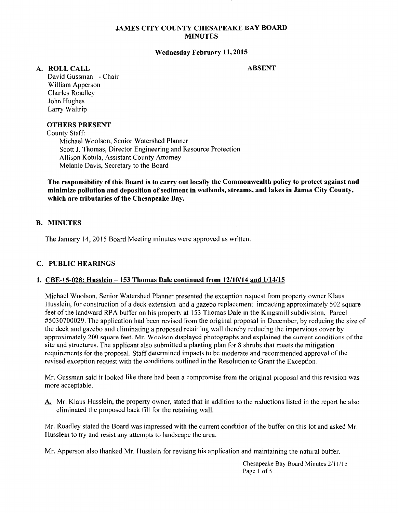## JAMES CITY COUNTY CHESAPEAKE BAY BOARD MINUTES

### Wednesday February 11, 2015

#### A. ROLLCALL

#### ABSENT

David Gussman - Chair William Apperson Charles Roadley John Hughes Larry Waltrip

### OTHERS PRESENT

County Staff:

Michael Woolson, Senior Watershed Planner Scott J. Thomas, Director Engineering and Resource Protection Allison Kotula, Assistant County Attorney Melanie Davis, Secretary to the Board

The responsibility of this Board is to carry out locally the Commonwealth policy to protect against and minimize pollution and deposition of sediment in wetlands, streams, and lakes in James City County, which are tributaries of the Chesapeake Bay.

## B. MINUTES

The January 14, 2015 Board Meeting minutes were approved as written.

#### C. PUBLIC HEARINGS

### 1. CBE-15-028: Husslein -153 Thomas Dale continued from 12/10/14 and 1/14/15

Michael Woolson, Senior Watershed Planner presented the exception request from property owner Klaus Husslein, for construction of a deck extension and a gazebo replacement impacting approximately 502 square feet of the landward RPA buffer on his property at 153 Thomas Dale in the Kingsmill subdivision, Parcel #5030700029. The application had been revised from the original proposal in December, by reducing the size of the deck and gazebo and eliminating a proposed retaining wall thereby reducing the impervious cover by approximately 200 square feet. Mr. Woolson displayed photographs and explained the current conditions of the site and structures. The applicant also submitted a planting plan for 8 shrubs that meets the mitigation requirements for the proposal. Staff determined impacts to be moderate and recommended approval of the revised exception request with the conditions outlined in the Resolution to Grant the Exception.

Mr. Gussman said it looked like there had been a compromise from the original proposal and this revision was more acceptable.

A. Mr. Klaus Husslein, the property owner, stated that in addition to the reductions listed in the report he also eliminated the proposed back fill for the retaining wall.

Mr. Roadley stated the Board was impressed with the current condition of the buffer on this lot and asked Mr. Husslein to try and resist any attempts to landscape the area.

Mr. Apperson also thanked Mr. Husslein for revising his application and maintaining the natural buffer.

Chesapeake Bay Board Minutes 2111115 Page 1 of 5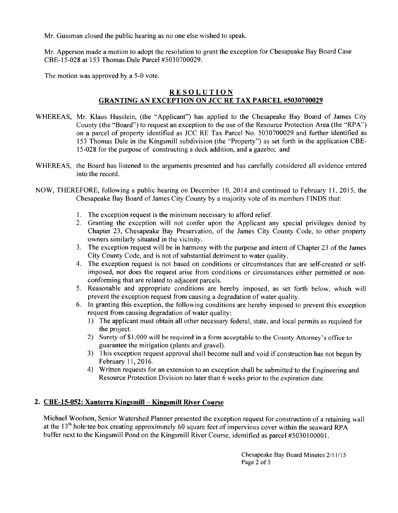Mr. Gussman closed the public hearing as no one else wished to speak.

Mr. Apperson made a motion to adopt the resolution to grant the exception for Chesapeake Bay Board Case CBE-15-028 at 153 Thomas Dale Parcel #5030700029.

The motion was approved by a 5-0 vote.

# RESOLUTION GRANTING AN EXCEPTION ON JCC RE TAX PARCEL #5030700029

- WHEREAS, Mr. Klaus Husslein, (the "Applicant") has applied to the Chesapeake Bay Board of James City County (the "Board") to request an exception to the use of the Resource Protection Area (the "RPA") on a parcel of property identified as JCC RE Tax Parcel No. 5030700029 and further identified as 153 Thomas Dale in the Kingsmill subdivision (the "Property") as set forth in the application CBE-15-028 for the purpose of constructing a deck addition, and a gazebo; and
- WHEREAS, the Board has listened to the arguments presented and has carefully considered all evidence entered into the record.
- NOW, THEREFORE, following a public hearing on December 10, 2014 and continued to February II, 2015, the Chesapeake Bay Board of James City County by a majority vote of its members FINDS that:
	- 1. The exception request is the minimum necessary to afford relief.
	- 2. Granting the exception will not confer upon the Applicant any special privileges denied by Chapter 23, Chesapeake Bay Preservation, of the James City County Code, to other property owners similarly situated in the vicinity.
	- 3. The exception request will be in harmony with the purpose and intent of Chapter 23 of the James City County Code, and is not of substantial detriment to water quality.
	- 4. The exception request is not based on conditions or circumstances that are self-created or selfimposed, nor does the request arise from conditions or circumstances either permitted or nonconforming that are related to adjacent parcels.
	- 5. Reasonable and appropriate conditions are hereby imposed, as set forth below, which will prevent the exception request from causing a degradation of water quality.
	- 6. In granting this exception, the following conditions are hereby imposed to prevent this exception request from causing degradation of water quality:
		- I) The applicant must obtain all other necessary federal, state, and local permits as required for the project.
		- 2) Surety of\$1,000 will be required in a form acceptable to the County Attorney's office to guarantee the mitigation (plants and gravel).
		- 3) This exception request approval shall become null and void if construction has not begun by February 11,2016.
		- 4) Written requests for an extension to an exception shall be submitted to the Engineering and Resource Protection Division no later than 6 weeks prior to the expiration date.

# 2. CBE-15-052: Xanterra Kingsmill - Kingsmill River Course

Michael Woolson, Senior Watershed Planner presented the exception request for construction of a retaining wall at the 13<sup>th</sup> hole tee box creating approximately 60 square feet of impervious cover within the seaward RPA buffer next to the Kingsmill Pond on the Kingsmill River Course, identified as parcel #5030 100001.

> Chesapeake Bay Board Minutes 2/11/15 Page 2 of 5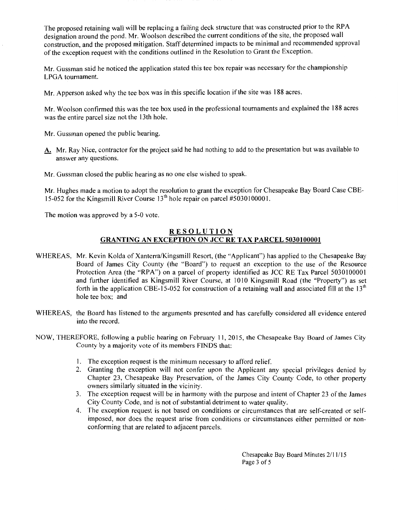The proposed retaining wall will be replacing a failing deck structure that was constructed prior to the RPA designation around the pond. Mr. Woolson described the current conditions of the site, the proposed wall construction, and the proposed mitigation. Staff determined impacts to be minimal and recommended approval of the exception request with the conditions outlined in the Resolution to Grant the Exception.

Mr. Gussman said he noticed the application stated this tee box repair was necessary for the championship LPGA tournament.

Mr. Apperson asked why the tee box was in this specific location if the site was 188 acres.

Mr. Woolson confirmed this was the tee box used in the professional tournaments and explained the 188 acres was the entire parcel size not the 13th hole.

Mr. Gussman opened the public hearing.

- A. Mr. Ray Nice, contractor for the project said he had nothing to add to the presentation but was available to answer any questions.
- Mr. Gussman closed the public hearing as no one else wished to speak.

Mr. Hughes made a motion to adopt the resolution to grant the exception for Chesapeake Bay Board Case CBE-15-052 for the Kingsmill River Course  $13<sup>th</sup>$  hole repair on parcel #5030100001.

The motion was approved by a 5-0 vote.

# RESOLUTION GRANTING AN EXCEPTION ON JCC RE TAX PARCEL 5030100001

- WHEREAS, Mr. Kevin Kolda of Xanterra/Kingsmill Resort, (the "Applicant") has applied to the Chesapeake Bay Board of James City County (the "Board") to request an exception to the use of the Resource Protection Area (the "RPA") on a parcel of property identified as JCC RE Tax Parcel 5030100001 and further identified as Kingsmill River Course, at 1010 Kingsmill Road (the "Property") as set forth in the application CBE-15-052 for construction of a retaining wall and associated fill at the  $13<sup>th</sup>$ hole tee box; and
- WHEREAS, the Board has listened to the arguments presented and has carefully considered all evidence entered into the record.
- NOW, THEREFORE, following a public hearing on February II, 2015, the Chesapeake Bay Board of James City County by a majority vote of its members FINDS that:
	- I. The exception request is the minimum necessary to afford relief.
	- 2. Granting the exception will not confer upon the Applicant any special privileges denied by Chapter 23, Chesapeake Bay Preservation, of the James City County Code, to other property owners similarly situated in the vicinity.
	- 3. The exception request will be in harmony with the purpose and intent of Chapter 23 of the James City County Code, and is not of substantial detriment to water quality.
	- 4. The exception request is not based on conditions or circumstances that are self-created or selfimposed, nor does the request arise from conditions or circumstances either permitted or nonconforming that are related to adjacent parcels.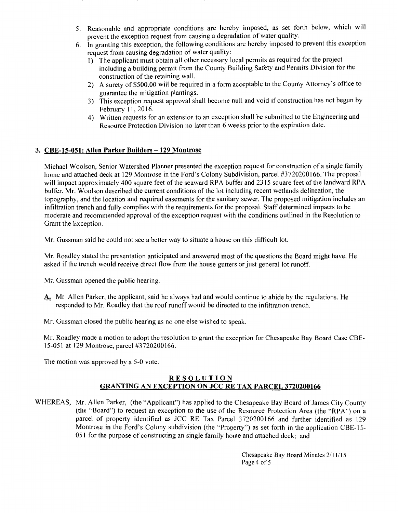- 5. Reasonable and appropriate conditions are hereby imposed, as set forth below, which will prevent the exception request from causing a degradation of water quality.
- 6. In granting this exception, the following conditions are hereby imposed to prevent this exception request from causing degradation of water quality:
	- 1) The applicant must obtain all other necessary local permits as required for the project including a building permit from the County Building Safety and Permits Division for the construction of the retaining wall.
	- 2) A surety of \$500.00 will be required in a form acceptable to the County Attorney's office to guarantee the mitigation plantings.
	- 3) This exception request approval shall become null and void if construction has not begun by February II, 2016.
	- 4) Written requests for an extension to an exception shall be submitted to the Engineering and Resource Protection Division no later than 6 weeks prior to the expiration date.

# 3. CBE-15-051: Allen Parker Builders - 129 Montrose

Michael Woolson, Senior Watershed Planner presented the exception request for construction of a single family home and attached deck at 129 Montrose in the Ford's Colony Subdivision, parcel #3720200166. The proposal will impact approximately 400 square feet of the seaward RPA buffer and 2315 square feet of the landward RPA buffer. Mr. Woolson described the current conditions of the lot including recent wetlands delineation, the topography, and the location and required easements for the sanitary sewer. The proposed mitigation includes an infiltration trench and fully complies with the requirements for the proposal. Staff determined impacts to be moderate and recommended approval of the exception request with the conditions outlined in the Resolution to Grant the Exception.

Mr. Gussman said he could not see a better way to situate a house on this difficult lot.

Mr. Roadley stated the presentation anticipated and answered most of the questions the Board might have. He asked if the trench would receive direct flow from the house gutters or just general lot runoff.

Mr. Gussman opened the public hearing.

- A. Mr. Allen Parker, the applicant, said he always had and would continue to abide by the regulations. He responded to Mr. Roadley that the roof runoff would be directed to the infiltration trench.
- Mr. Gussman closed the public hearing as no one else wished to speak.

Mr. Roadley made a motion to adopt the resolution to grant the exception for Chesapeake Bay Board Case CBE-15-051 at 129 Montrose, parcel #3 720200166.

The motion was approved by a 5-0 vote.

### RESOLUTION GRANTING AN EXCEPTION ON JCC RE TAX PARCEL 3720200166

WHEREAS, Mr. Allen Parker, (the "Applicant") has applied to the Chesapeake Bay Board of James City County (the "Board") to request an exception to the use of the Resource Protection Area (the "RPA") on a parcel of property identified as JCC RE Tax Parcel 3 720200166 and further identified as 129 Montrose in the Ford's Colony subdivision (the "Property") as set forth in the application CBE-15- 051 for the purpose of constructing an single family home and attached deck; and

> Chesapeake Bay Board Minutes 211 1/15 Page 4 of 5